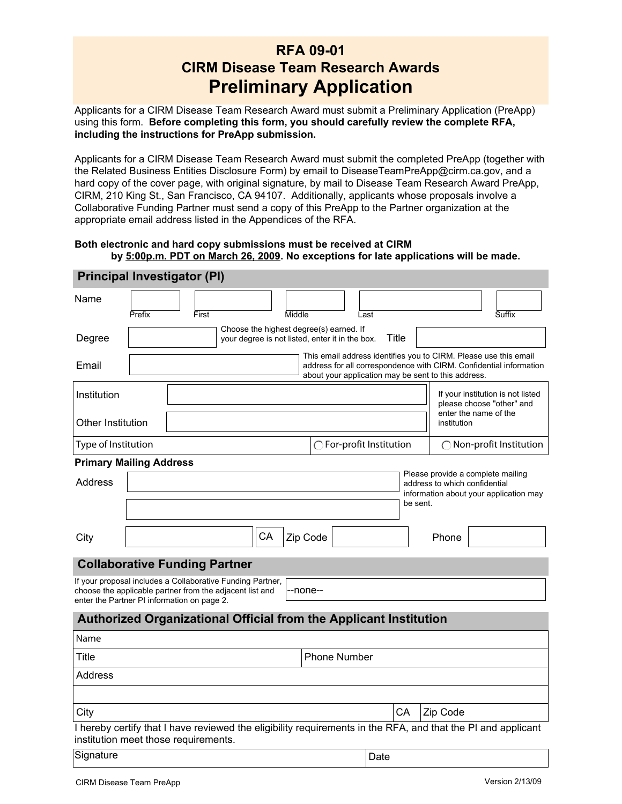# **RFA 09-01 CIRM Disease Team Research Awards Preliminary Application**

Applicants for a CIRM Disease Team Research Award must submit a Preliminary Application (PreApp) using this form. **Before completing this form, you should carefully review the complete RFA, including the instructions for PreApp submission.**

Applicants for a CIRM Disease Team Research Award must submit the completed PreApp (together with the Related Business Entities Disclosure Form) by email to DiseaseTeamPreApp@cirm.ca.gov, and a hard copy of the cover page, with original signature, by mail to Disease Team Research Award PreApp, CIRM, 210 King St., San Francisco, CA 94107. Additionally, applicants whose proposals involve a Collaborative Funding Partner must send a copy of this PreApp to the Partner organization at the appropriate email address listed in the Appendices of the RFA.

#### **Both electronic and hard copy submissions must be received at CIRM by 5:00p.m. PDT on March 26, 2009. No exceptions for late applications will be made.**

| Principal Investigator (PI)                                                                                                                                           |          |       |                                                                          |                                                                                            |          |  |                                                                                                                                                                                               |       |  |                                                                                                              |  |        |  |
|-----------------------------------------------------------------------------------------------------------------------------------------------------------------------|----------|-------|--------------------------------------------------------------------------|--------------------------------------------------------------------------------------------|----------|--|-----------------------------------------------------------------------------------------------------------------------------------------------------------------------------------------------|-------|--|--------------------------------------------------------------------------------------------------------------|--|--------|--|
| Name                                                                                                                                                                  | Prefix   | First |                                                                          |                                                                                            | Middle   |  | Last                                                                                                                                                                                          |       |  |                                                                                                              |  | Suffix |  |
| Degree                                                                                                                                                                |          |       | $\blacktriangledown$                                                     | Choose the highest degree(s) earned. If<br>your degree is not listed, enter it in the box. |          |  |                                                                                                                                                                                               | Title |  |                                                                                                              |  |        |  |
| Email                                                                                                                                                                 |          |       |                                                                          |                                                                                            |          |  | This email address identifies you to CIRM. Please use this email<br>address for all correspondence with CIRM. Confidential information<br>about your application may be sent to this address. |       |  |                                                                                                              |  |        |  |
| Institution                                                                                                                                                           |          |       |                                                                          |                                                                                            |          |  |                                                                                                                                                                                               |       |  | If your institution is not listed<br>please choose "other" and                                               |  |        |  |
| Other Institution                                                                                                                                                     |          |       |                                                                          |                                                                                            |          |  |                                                                                                                                                                                               |       |  | enter the name of the<br>institution                                                                         |  |        |  |
| Type of Institution                                                                                                                                                   |          |       |                                                                          |                                                                                            |          |  | $\bigcirc$ For-profit Institution                                                                                                                                                             |       |  | $\bigcirc$ Non-profit Institution                                                                            |  |        |  |
| <b>Primary Mailing Address</b>                                                                                                                                        |          |       |                                                                          |                                                                                            |          |  |                                                                                                                                                                                               |       |  |                                                                                                              |  |        |  |
| <b>Address</b>                                                                                                                                                        |          |       |                                                                          |                                                                                            |          |  |                                                                                                                                                                                               |       |  | Please provide a complete mailing<br>address to which confidential<br>information about your application may |  |        |  |
|                                                                                                                                                                       | be sent. |       |                                                                          |                                                                                            |          |  |                                                                                                                                                                                               |       |  |                                                                                                              |  |        |  |
| City                                                                                                                                                                  |          |       |                                                                          | CA                                                                                         | Zip Code |  |                                                                                                                                                                                               |       |  | Phone                                                                                                        |  |        |  |
| <b>Collaborative Funding Partner</b>                                                                                                                                  |          |       |                                                                          |                                                                                            |          |  |                                                                                                                                                                                               |       |  |                                                                                                              |  |        |  |
| If your proposal includes a Collaborative Funding Partner,<br>choose the applicable partner from the adjacent list and<br>enter the Partner PI information on page 2. |          |       |                                                                          |                                                                                            | -none--  |  |                                                                                                                                                                                               |       |  |                                                                                                              |  |        |  |
|                                                                                                                                                                       |          |       | <b>Authorized Organizational Official from the Applicant Institution</b> |                                                                                            |          |  |                                                                                                                                                                                               |       |  |                                                                                                              |  |        |  |
| Name                                                                                                                                                                  |          |       |                                                                          |                                                                                            |          |  |                                                                                                                                                                                               |       |  |                                                                                                              |  |        |  |
| <b>Phone Number</b><br>Title                                                                                                                                          |          |       |                                                                          |                                                                                            |          |  |                                                                                                                                                                                               |       |  |                                                                                                              |  |        |  |
| <b>Address</b>                                                                                                                                                        |          |       |                                                                          |                                                                                            |          |  |                                                                                                                                                                                               |       |  |                                                                                                              |  |        |  |
|                                                                                                                                                                       |          |       |                                                                          |                                                                                            |          |  |                                                                                                                                                                                               |       |  |                                                                                                              |  |        |  |
| City                                                                                                                                                                  |          |       |                                                                          |                                                                                            |          |  |                                                                                                                                                                                               | СA    |  | Zip Code                                                                                                     |  |        |  |
| I hereby certify that I have reviewed the eligibility requirements in the RFA, and that the PI and applicant<br>institution meet those requirements.                  |          |       |                                                                          |                                                                                            |          |  |                                                                                                                                                                                               |       |  |                                                                                                              |  |        |  |
| Signature                                                                                                                                                             |          |       |                                                                          |                                                                                            |          |  | Date                                                                                                                                                                                          |       |  |                                                                                                              |  |        |  |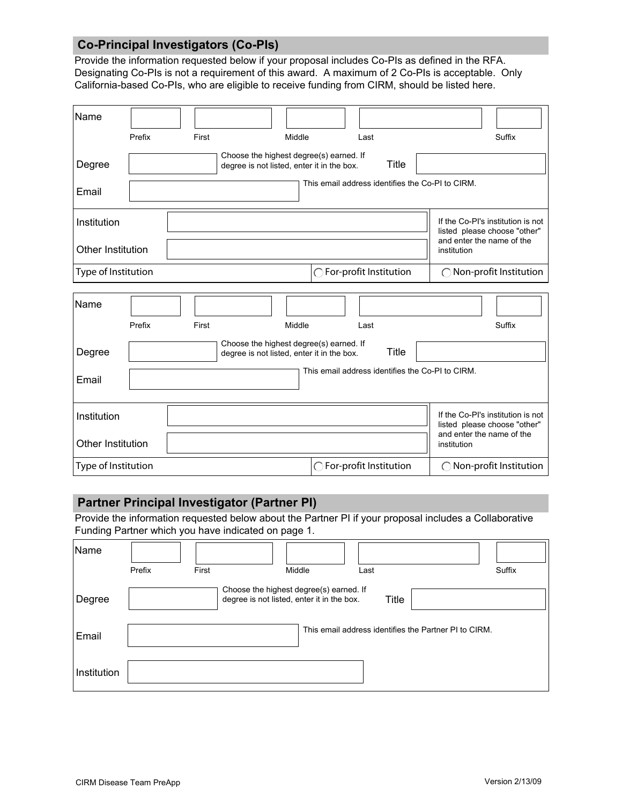## **Co-Principal Investigators (Co-PIs)**

Provide the information requested below if your proposal includes Co-PIs as defined in the RFA. Designating Co-PIs is not a requirement of this award. A maximum of 2 Co-PIs is acceptable. Only California-based Co-PIs, who are eligible to receive funding from CIRM, should be listed here.

| Name                |        | $\blacktriangledown$ |                                                                                       |                                                  | $\overline{\phantom{a}}$                                                                                               |
|---------------------|--------|----------------------|---------------------------------------------------------------------------------------|--------------------------------------------------|------------------------------------------------------------------------------------------------------------------------|
|                     | Prefix | First                | Middle                                                                                | Last                                             | Suffix                                                                                                                 |
| Degree              |        | ▼                    | Choose the highest degree(s) earned. If<br>degree is not listed, enter it in the box. | Title                                            |                                                                                                                        |
| Email               |        |                      |                                                                                       | This email address identifies the Co-PI to CIRM. |                                                                                                                        |
| Institution         |        |                      |                                                                                       |                                                  | If the Co-PI's institution is not<br>$\blacktriangledown$<br>listed please choose "other"<br>and enter the name of the |
| Other Institution   |        |                      |                                                                                       |                                                  | institution                                                                                                            |
| Type of Institution |        |                      |                                                                                       | $\bigcirc$ For-profit Institution                | $\bigcirc$ Non-profit Institution                                                                                      |
|                     |        |                      |                                                                                       |                                                  |                                                                                                                        |
| Name                |        |                      |                                                                                       |                                                  |                                                                                                                        |
|                     | Prefix | First                | Middle                                                                                | Last                                             | Suffix                                                                                                                 |
| Degree              |        |                      | Choose the highest degree(s) earned. If<br>degree is not listed, enter it in the box. | <b>Title</b>                                     |                                                                                                                        |
| Email               |        |                      |                                                                                       | This email address identifies the Co-PI to CIRM. |                                                                                                                        |
| Institution         |        |                      |                                                                                       |                                                  | If the Co-PI's institution is not<br>$\overline{\phantom{0}}$                                                          |
|                     |        |                      |                                                                                       |                                                  | listed please choose "other"<br>and enter the name of the                                                              |
| Other Institution   |        |                      |                                                                                       |                                                  | institution                                                                                                            |

## **Partner Principal Investigator (Partner PI)**

Provide the information requested below about the Partner PI if your proposal includes a Collaborative Funding Partner which you have indicated on page 1.

| Name        |        |                                                                                            |        |       |                                                       |
|-------------|--------|--------------------------------------------------------------------------------------------|--------|-------|-------------------------------------------------------|
|             | Prefix | First                                                                                      | Middle | Last  | Suffix                                                |
| Degree      |        | Choose the highest degree(s) earned. If<br>degree is not listed, enter it in the box.<br>▼ |        | Title |                                                       |
| Email       |        |                                                                                            |        |       | This email address identifies the Partner PI to CIRM. |
| Institution |        |                                                                                            |        |       |                                                       |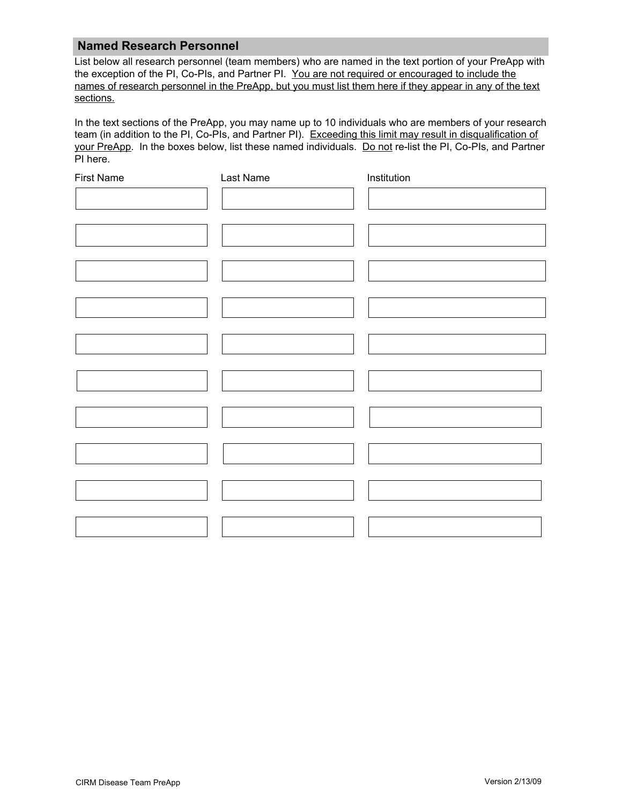#### **Named Research Personnel**

List below all research personnel (team members) who are named in the text portion of your PreApp with the exception of the PI, Co-PIs, and Partner PI. You are not required or encouraged to include the names of research personnel in the PreApp, but you must list them here if they appear in any of the text sections.

In the text sections of the PreApp, you may name up to 10 individuals who are members of your research team (in addition to the PI, Co-PIs, and Partner PI). Exceeding this limit may result in disqualification of your PreApp. In the boxes below, list these named individuals. Do not re-list the PI, Co-PIs, and Partner PI here.

| <b>First Name</b> | Last Name | Institution |  |
|-------------------|-----------|-------------|--|
|                   |           |             |  |
|                   |           |             |  |
|                   |           |             |  |
|                   |           |             |  |
|                   |           |             |  |
|                   |           |             |  |
|                   |           |             |  |
|                   |           |             |  |
|                   |           |             |  |
|                   |           |             |  |
|                   |           |             |  |
|                   |           |             |  |
|                   |           |             |  |
|                   |           |             |  |
|                   |           |             |  |
|                   |           |             |  |
|                   |           |             |  |
|                   |           |             |  |
|                   |           |             |  |
|                   |           |             |  |
|                   |           |             |  |
|                   |           |             |  |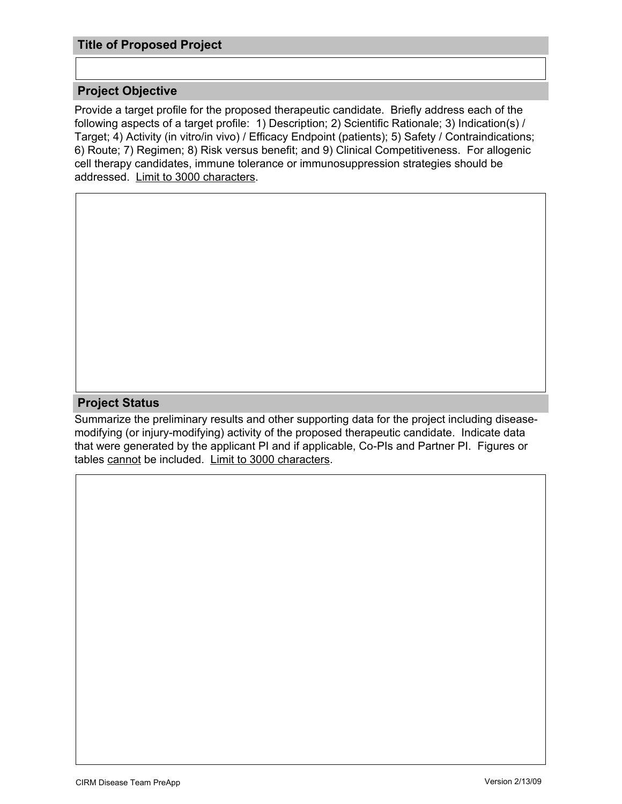### **Title of Proposed Project**

#### **Project Objective**

Provide a target profile for the proposed therapeutic candidate. Briefly address each of the following aspects of a target profile: 1) Description; 2) Scientific Rationale; 3) Indication(s) / Target; 4) Activity (in vitro/in vivo) / Efficacy Endpoint (patients); 5) Safety / Contraindications; 6) Route; 7) Regimen; 8) Risk versus benefit; and 9) Clinical Competitiveness. For allogenic cell therapy candidates, immune tolerance or immunosuppression strategies should be addressed. Limit to 3000 characters.

#### **Project Status**

Summarize the preliminary results and other supporting data for the project including diseasemodifying (or injury-modifying) activity of the proposed therapeutic candidate. Indicate data that were generated by the applicant PI and if applicable, Co-PIs and Partner PI. Figures or tables cannot be included. Limit to 3000 characters.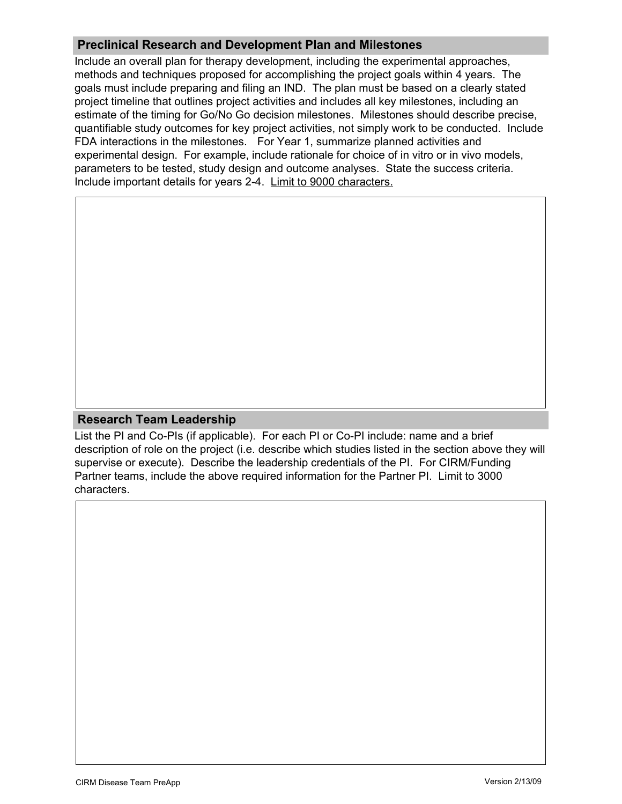## **Preclinical Research and Development Plan and Milestones**

Include an overall plan for therapy development, including the experimental approaches, methods and techniques proposed for accomplishing the project goals within 4 years. The goals must include preparing and filing an IND. The plan must be based on a clearly stated project timeline that outlines project activities and includes all key milestones, including an estimate of the timing for Go/No Go decision milestones. Milestones should describe precise, quantifiable study outcomes for key project activities, not simply work to be conducted. Include FDA interactions in the milestones. For Year 1, summarize planned activities and experimental design. For example, include rationale for choice of in vitro or in vivo models, parameters to be tested, study design and outcome analyses. State the success criteria. Include important details for years 2-4. Limit to 9000 characters.

#### **Research Team Leadership**

List the PI and Co-PIs (if applicable). For each PI or Co-PI include: name and a brief description of role on the project (i.e. describe which studies listed in the section above they will supervise or execute). Describe the leadership credentials of the PI. For CIRM/Funding Partner teams, include the above required information for the Partner PI. Limit to 3000 characters.